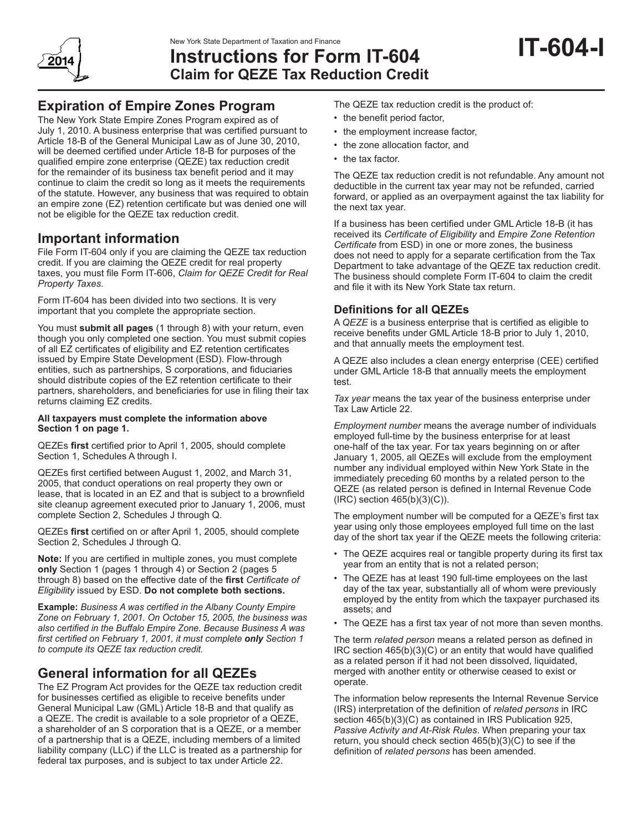

# **Instructions for Form IT-604 Claim for QEZE Tax Reduction Credit**

# **Expiration of Empire Zones Program**

The New York State Empire Zones Program expired as of July 1, 2010. A business enterprise that was certified pursuant to Article 18-B of the General Municipal Law as of June 30, 2010, will be deemed certified under Article 18-B for purposes of the qualified empire zone enterprise (QEZE) tax reduction credit for the remainder of its business tax benefit period and it may continue to claim the credit so long as it meets the requirements of the statute. However, any business that was required to obtain an empire zone (EZ) retention certificate but was denied one will not be eligible for the QEZE tax reduction credit.

# **Important information**

File Form IT-604 only if you are claiming the QEZE tax reduction credit. If you are claiming the QEZE credit for real property taxes, you must file Form IT-606, *Claim for QEZE Credit for Real Property Taxes*.

Form IT-604 has been divided into two sections. It is very important that you complete the appropriate section.

You must **submit all pages** (1 through 8) with your return, even though you only completed one section. You must submit copies of all EZ certificates of eligibility and EZ retention certificates issued by Empire State Development (ESD). Flow-through entities, such as partnerships, S corporations, and fiduciaries should distribute copies of the EZ retention certificate to their partners, shareholders, and beneficiaries for use in filing their tax returns claiming EZ credits.

#### **All taxpayers must complete the information above Section 1 on page 1.**

QEZEs **first** certified prior to April 1, 2005, should complete Section 1, Schedules A through I.

QEZEs first certified between August 1, 2002, and March 31, 2005, that conduct operations on real property they own or lease, that is located in an EZ and that is subject to a brownfield site cleanup agreement executed prior to January 1, 2006, must complete Section 2, Schedules J through Q.

QEZEs **first** certified on or after April 1, 2005, should complete Section 2, Schedules J through Q.

**Note:** If you are certified in multiple zones, you must complete **only** Section 1 (pages 1 through 4) or Section 2 (pages 5 through 8) based on the effective date of the **first** *Certificate of Eligibility* issued by ESD. **Do not complete both sections.**

**Example:** *Business A was certified in the Albany County Empire Zone on February 1, 2001. On October 15, 2005, the business was also certified in the Buffalo Empire Zone. Because Business A was first certified on February 1, 2001, it must complete only Section 1 to compute its QEZE tax reduction credit.*

# **General information for all QEZEs**

The EZ Program Act provides for the QEZE tax reduction credit for businesses certified as eligible to receive benefits under General Municipal Law (GML) Article 18-B and that qualify as a QEZE. The credit is available to a sole proprietor of a QEZE, a shareholder of an S corporation that is a QEZE, or a member of a partnership that is a QEZE, including members of a limited liability company (LLC) if the LLC is treated as a partnership for federal tax purposes, and is subject to tax under Article 22.

The QEZE tax reduction credit is the product of:

- the benefit period factor,
- the employment increase factor,
- the zone allocation factor, and
- the tax factor.

The QEZE tax reduction credit is not refundable. Any amount not deductible in the current tax year may not be refunded, carried forward, or applied as an overpayment against the tax liability for the next tax year.

If a business has been certified under GML Article 18-B (it has received its *Certificate of Eligibility* and *Empire Zone Retention Certificate* from ESD) in one or more zones, the business does not need to apply for a separate certification from the Tax Department to take advantage of the QEZE tax reduction credit. The business should complete Form IT-604 to claim the credit and file it with its New York State tax return.

# **Definitions for all QEZEs**

A *QEZE* is a business enterprise that is certified as eligible to receive benefits under GML Article 18‑B prior to July 1, 2010, and that annually meets the employment test.

A QEZE also includes a clean energy enterprise (CEE) certified under GML Article 18-B that annually meets the employment test.

*Tax year* means the tax year of the business enterprise under Tax Law Article 22.

*Employment number* means the average number of individuals employed full-time by the business enterprise for at least one-half of the tax year. For tax years beginning on or after January 1, 2005, all QEZEs will exclude from the employment number any individual employed within New York State in the immediately preceding 60 months by a related person to the QEZE (as related person is defined in Internal Revenue Code (IRC) section 465(b)(3)(C)).

The employment number will be computed for a QEZE's first tax year using only those employees employed full time on the last day of the short tax year if the QEZE meets the following criteria:

- The QEZE acquires real or tangible property during its first tax year from an entity that is not a related person;
- The QEZE has at least 190 full-time employees on the last day of the tax year, substantially all of whom were previously employed by the entity from which the taxpayer purchased its assets; and
- The QEZE has a first tax year of not more than seven months.

The term *related person* means a related person as defined in IRC section 465(b)(3)(C) or an entity that would have qualified as a related person if it had not been dissolved, liquidated, merged with another entity or otherwise ceased to exist or operate.

The information below represents the Internal Revenue Service (IRS) interpretation of the definition of *related persons* in IRC section 465(b)(3)(C) as contained in IRS Publication 925, *Passive Activity and At-Risk Rules*. When preparing your tax return, you should check section 465(b)(3)(C) to see if the definition of *related persons* has been amended.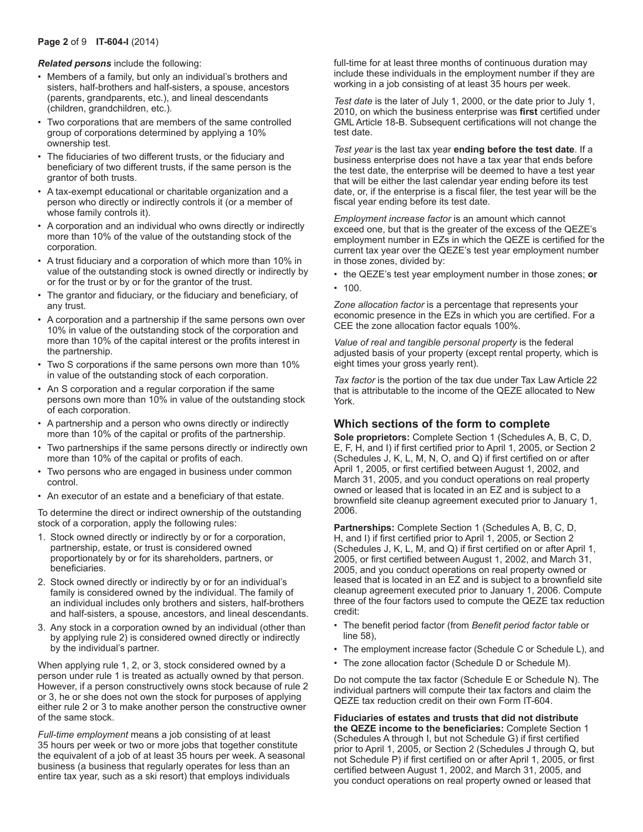#### **Page 2** of 9 **IT-604-I** (2014)

#### *Related persons* include the following:

- Members of a family, but only an individual's brothers and sisters, half-brothers and half-sisters, a spouse, ancestors (parents, grandparents, etc.), and lineal descendants (children, grandchildren, etc.).
- Two corporations that are members of the same controlled group of corporations determined by applying a 10% ownership test.
- The fiduciaries of two different trusts, or the fiduciary and beneficiary of two different trusts, if the same person is the grantor of both trusts.
- A tax-exempt educational or charitable organization and a person who directly or indirectly controls it (or a member of whose family controls it).
- A corporation and an individual who owns directly or indirectly more than 10% of the value of the outstanding stock of the corporation.
- A trust fiduciary and a corporation of which more than 10% in value of the outstanding stock is owned directly or indirectly by or for the trust or by or for the grantor of the trust.
- The grantor and fiduciary, or the fiduciary and beneficiary, of any trust.
- A corporation and a partnership if the same persons own over 10% in value of the outstanding stock of the corporation and more than 10% of the capital interest or the profits interest in the partnership.
- Two S corporations if the same persons own more than 10% in value of the outstanding stock of each corporation.
- An S corporation and a regular corporation if the same persons own more than 10% in value of the outstanding stock of each corporation.
- A partnership and a person who owns directly or indirectly more than 10% of the capital or profits of the partnership.
- Two partnerships if the same persons directly or indirectly own more than 10% of the capital or profits of each.
- Two persons who are engaged in business under common control.
- An executor of an estate and a beneficiary of that estate.

To determine the direct or indirect ownership of the outstanding stock of a corporation, apply the following rules:

- 1. Stock owned directly or indirectly by or for a corporation, partnership, estate, or trust is considered owned proportionately by or for its shareholders, partners, or beneficiaries.
- 2. Stock owned directly or indirectly by or for an individual's family is considered owned by the individual. The family of an individual includes only brothers and sisters, half-brothers and half-sisters, a spouse, ancestors, and lineal descendants.
- 3. Any stock in a corporation owned by an individual (other than by applying rule 2) is considered owned directly or indirectly by the individual's partner.

When applying rule 1, 2, or 3, stock considered owned by a person under rule 1 is treated as actually owned by that person. However, if a person constructively owns stock because of rule 2 or 3, he or she does not own the stock for purposes of applying either rule 2 or 3 to make another person the constructive owner of the same stock.

*Full‑time employment* means a job consisting of at least 35 hours per week or two or more jobs that together constitute the equivalent of a job of at least 35 hours per week. A seasonal business (a business that regularly operates for less than an entire tax year, such as a ski resort) that employs individuals

full-time for at least three months of continuous duration may include these individuals in the employment number if they are working in a job consisting of at least 35 hours per week.

*Test date* is the later of July 1, 2000, or the date prior to July 1, 2010, on which the business enterprise was **first** certified under GML Article 18‑B. Subsequent certifications will not change the test date.

*Test year* is the last tax year **ending before the test date**. If a business enterprise does not have a tax year that ends before the test date, the enterprise will be deemed to have a test year that will be either the last calendar year ending before its test date, or, if the enterprise is a fiscal filer, the test year will be the fiscal year ending before its test date.

*Employment increase factor* is an amount which cannot exceed one, but that is the greater of the excess of the QEZE's employment number in EZs in which the QEZE is certified for the current tax year over the QEZE's test year employment number in those zones, divided by:

- the QEZE's test year employment number in those zones; **or**
- $100.$

*Zone allocation factor* is a percentage that represents your economic presence in the EZs in which you are certified. For a CEE the zone allocation factor equals 100%.

*Value of real and tangible personal property* is the federal adjusted basis of your property (except rental property, which is eight times your gross yearly rent).

*Tax factor* is the portion of the tax due under Tax Law Article 22 that is attributable to the income of the QEZE allocated to New York.

## **Which sections of the form to complete**

**Sole proprietors:** Complete Section 1 (Schedules A, B, C, D, E, F, H, and I) if first certified prior to April 1, 2005, or Section 2 (Schedules J, K, L, M, N, O, and Q) if first certified on or after April 1, 2005, or first certified between August 1, 2002, and March 31, 2005, and you conduct operations on real property owned or leased that is located in an EZ and is subject to a brownfield site cleanup agreement executed prior to January 1, 2006.

**Partnerships:** Complete Section 1 (Schedules A, B, C, D, H, and I) if first certified prior to April 1, 2005, or Section 2 (Schedules J, K, L, M, and Q) if first certified on or after April 1, 2005, or first certified between August 1, 2002, and March 31, 2005, and you conduct operations on real property owned or leased that is located in an EZ and is subject to a brownfield site cleanup agreement executed prior to January 1, 2006. Compute three of the four factors used to compute the QEZE tax reduction credit:

- The benefit period factor (from *Benefit period factor table* or line 58),
- The employment increase factor (Schedule C or Schedule L), and
- The zone allocation factor (Schedule D or Schedule M).

Do not compute the tax factor (Schedule E or Schedule N). The individual partners will compute their tax factors and claim the QEZE tax reduction credit on their own Form IT-604.

**Fiduciaries of estates and trusts that did not distribute the QEZE income to the beneficiaries:** Complete Section 1 (Schedules A through I, but not Schedule G) if first certified prior to April 1, 2005, or Section 2 (Schedules J through Q, but not Schedule P) if first certified on or after April 1, 2005, or first certified between August 1, 2002, and March 31, 2005, and you conduct operations on real property owned or leased that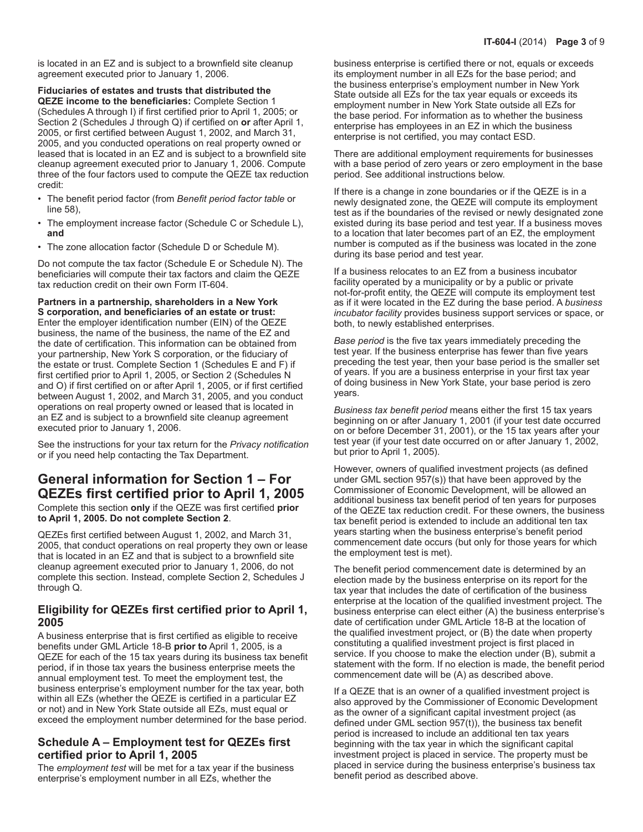is located in an EZ and is subject to a brownfield site cleanup agreement executed prior to January 1, 2006.

**Fiduciaries of estates and trusts that distributed the QEZE income to the beneficiaries:** Complete Section 1 (Schedules A through I) if first certified prior to April 1, 2005; or Section 2 (Schedules J through Q) if certified on **or** after April 1, 2005, or first certified between August 1, 2002, and March 31, 2005, and you conducted operations on real property owned or leased that is located in an EZ and is subject to a brownfield site cleanup agreement executed prior to January 1, 2006. Compute three of the four factors used to compute the QEZE tax reduction credit:

- The benefit period factor (from *Benefit period factor table* or line 58),
- The employment increase factor (Schedule C or Schedule L), **and**
- The zone allocation factor (Schedule D or Schedule M).

Do not compute the tax factor (Schedule E or Schedule N). The beneficiaries will compute their tax factors and claim the QEZE tax reduction credit on their own Form IT-604.

**Partners in a partnership, shareholders in a New York S corporation, and beneficiaries of an estate or trust:** Enter the employer identification number (EIN) of the QEZE business, the name of the business, the name of the EZ and the date of certification. This information can be obtained from your partnership, New York S corporation, or the fiduciary of the estate or trust. Complete Section 1 (Schedules E and F) if first certified prior to April 1, 2005, or Section 2 (Schedules N and O) if first certified on or after April 1, 2005, or if first certified between August 1, 2002, and March 31, 2005, and you conduct operations on real property owned or leased that is located in an EZ and is subject to a brownfield site cleanup agreement executed prior to January 1, 2006.

See the instructions for your tax return for the *Privacy notification*  or if you need help contacting the Tax Department.

# **General information for Section 1 – For QEZEs first certified prior to April 1, 2005**

Complete this section **only** if the QEZE was first certified **prior to April 1, 2005. Do not complete Section 2**.

QEZEs first certified between August 1, 2002, and March 31, 2005, that conduct operations on real property they own or lease that is located in an EZ and that is subject to a brownfield site cleanup agreement executed prior to January 1, 2006, do not complete this section. Instead, complete Section 2, Schedules J through Q.

## **Eligibility for QEZEs first certified prior to April 1, 2005**

A business enterprise that is first certified as eligible to receive benefits under GML Article 18‑B **prior to** April 1, 2005, is a QEZE for each of the 15 tax years during its business tax benefit period, if in those tax years the business enterprise meets the annual employment test. To meet the employment test, the business enterprise's employment number for the tax year, both within all EZs (whether the QEZE is certified in a particular EZ or not) and in New York State outside all EZs, must equal or exceed the employment number determined for the base period.

## **Schedule A – Employment test for QEZEs first certified prior to April 1, 2005**

The *employment test* will be met for a tax year if the business enterprise's employment number in all EZs, whether the

business enterprise is certified there or not, equals or exceeds its employment number in all EZs for the base period; and the business enterprise's employment number in New York State outside all EZs for the tax year equals or exceeds its employment number in New York State outside all EZs for the base period. For information as to whether the business enterprise has employees in an EZ in which the business enterprise is not certified, you may contact ESD.

There are additional employment requirements for businesses with a base period of zero years or zero employment in the base period. See additional instructions below.

If there is a change in zone boundaries or if the QEZE is in a newly designated zone, the QEZE will compute its employment test as if the boundaries of the revised or newly designated zone existed during its base period and test year. If a business moves to a location that later becomes part of an EZ, the employment number is computed as if the business was located in the zone during its base period and test year.

If a business relocates to an EZ from a business incubator facility operated by a municipality or by a public or private not-for-profit entity, the QEZE will compute its employment test as if it were located in the EZ during the base period. A *business incubator facility* provides business support services or space, or both, to newly established enterprises.

*Base period* is the five tax years immediately preceding the test year. If the business enterprise has fewer than five years preceding the test year, then your base period is the smaller set of years. If you are a business enterprise in your first tax year of doing business in New York State, your base period is zero years.

*Business tax benefit period* means either the first 15 tax years beginning on or after January 1, 2001 (if your test date occurred on or before December 31, 2001), or the 15 tax years after your test year (if your test date occurred on or after January 1, 2002, but prior to April 1, 2005).

However, owners of qualified investment projects (as defined under GML section 957(s)) that have been approved by the Commissioner of Economic Development, will be allowed an additional business tax benefit period of ten years for purposes of the QEZE tax reduction credit. For these owners, the business tax benefit period is extended to include an additional ten tax years starting when the business enterprise's benefit period commencement date occurs (but only for those years for which the employment test is met).

The benefit period commencement date is determined by an election made by the business enterprise on its report for the tax year that includes the date of certification of the business enterprise at the location of the qualified investment project. The business enterprise can elect either (A) the business enterprise's date of certification under GML Article 18-B at the location of the qualified investment project, or (B) the date when property constituting a qualified investment project is first placed in service. If you choose to make the election under (B), submit a statement with the form. If no election is made, the benefit period commencement date will be (A) as described above.

If a QEZE that is an owner of a qualified investment project is also approved by the Commissioner of Economic Development as the owner of a significant capital investment project (as defined under GML section 957(t)), the business tax benefit period is increased to include an additional ten tax years beginning with the tax year in which the significant capital investment project is placed in service. The property must be placed in service during the business enterprise's business tax benefit period as described above.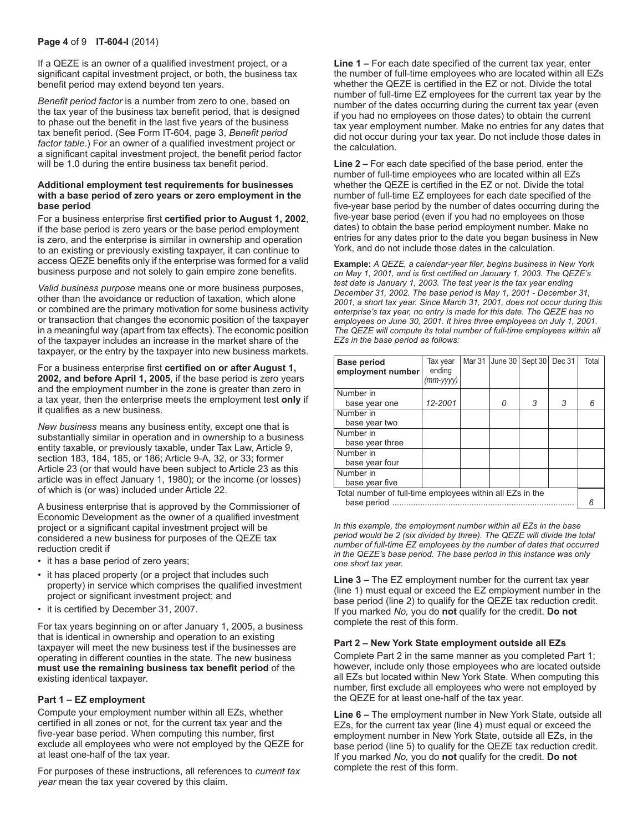#### **Page 4** of 9 **IT-604-I** (2014)

If a QEZE is an owner of a qualified investment project, or a significant capital investment project, or both, the business tax benefit period may extend beyond ten years.

*Benefit period factor* is a number from zero to one, based on the tax year of the business tax benefit period, that is designed to phase out the benefit in the last five years of the business tax benefit period. (See Form IT-604, page 3, *Benefit period factor table*.) For an owner of a qualified investment project or a significant capital investment project, the benefit period factor will be 1.0 during the entire business tax benefit period.

#### **Additional employment test requirements for businesses with a base period of zero years or zero employment in the base period**

For a business enterprise first **certified prior to August 1, 2002**, if the base period is zero years or the base period employment is zero, and the enterprise is similar in ownership and operation to an existing or previously existing taxpayer, it can continue to access QEZE benefits only if the enterprise was formed for a valid business purpose and not solely to gain empire zone benefits.

*Valid business purpose* means one or more business purposes, other than the avoidance or reduction of taxation, which alone or combined are the primary motivation for some business activity or transaction that changes the economic position of the taxpayer in a meaningful way (apart from tax effects). The economic position of the taxpayer includes an increase in the market share of the taxpayer, or the entry by the taxpayer into new business markets.

#### For a business enterprise first **certified on or after August 1, 2002, and before April 1, 2005**, if the base period is zero years and the employment number in the zone is greater than zero in a tax year, then the enterprise meets the employment test **only** if it qualifies as a new business.

*New business* means any business entity, except one that is substantially similar in operation and in ownership to a business entity taxable, or previously taxable, under Tax Law, Article 9, section 183, 184, 185, or 186; Article 9-A, 32, or 33; former Article 23 (or that would have been subject to Article 23 as this article was in effect January 1, 1980); or the income (or losses) of which is (or was) included under Article 22.

A business enterprise that is approved by the Commissioner of Economic Development as the owner of a qualified investment project or a significant capital investment project will be considered a new business for purposes of the QEZE tax reduction credit if

- it has a base period of zero years;
- it has placed property (or a project that includes such property) in service which comprises the qualified investment project or significant investment project; and
- it is certified by December 31, 2007.

For tax years beginning on or after January 1, 2005, a business that is identical in ownership and operation to an existing taxpayer will meet the new business test if the businesses are operating in different counties in the state. The new business **must use the remaining business tax benefit period** of the existing identical taxpayer.

#### **Part 1 – EZ employment**

Compute your employment number within all EZs, whether certified in all zones or not, for the current tax year and the five-year base period. When computing this number, first exclude all employees who were not employed by the QEZE for at least one-half of the tax year.

For purposes of these instructions, all references to *current tax year* mean the tax year covered by this claim.

**Line 1 –** For each date specified of the current tax year, enter the number of full-time employees who are located within all EZs whether the QEZE is certified in the EZ or not. Divide the total number of full-time EZ employees for the current tax year by the number of the dates occurring during the current tax year (even if you had no employees on those dates) to obtain the current tax year employment number. Make no entries for any dates that did not occur during your tax year. Do not include those dates in the calculation.

**Line 2 –** For each date specified of the base period, enter the number of full-time employees who are located within all EZs whether the QEZE is certified in the EZ or not. Divide the total number of full-time EZ employees for each date specified of the five-year base period by the number of dates occurring during the five-year base period (even if you had no employees on those dates) to obtain the base period employment number. Make no entries for any dates prior to the date you began business in New York, and do not include those dates in the calculation.

**Example:** *A QEZE, a calendar-year filer, begins business in New York on May 1, 2001, and is first certified on January 1, 2003. The QEZE's test date is January 1, 2003. The test year is the tax year ending December 31, 2002. The base period is May 1, 2001 - December 31, 2001, a short tax year. Since March 31, 2001, does not occur during this enterprise's tax year, no entry is made for this date. The QEZE has no employees on June 30, 2001. It hires three employees on July 1, 2001. The QEZE will compute its total number of full‑time employees within all EZs in the base period as follows:*

| <b>Base period</b><br>employment number                                  | Tax vear<br>ending<br>$(mm-yyyy)$ | Mar 31 |   | June 30   Sept 30 | Dec 31 | Total |
|--------------------------------------------------------------------------|-----------------------------------|--------|---|-------------------|--------|-------|
| Number in<br>base year one                                               | 12-2001                           |        | 0 | 3                 | 3      | 6     |
| Number in<br>base year two                                               |                                   |        |   |                   |        |       |
| Number in<br>base year three                                             |                                   |        |   |                   |        |       |
| Number in<br>base year four                                              |                                   |        |   |                   |        |       |
| Number in<br>base year five                                              |                                   |        |   |                   |        |       |
| Total number of full-time employees within all EZs in the<br>base period |                                   |        |   |                   |        |       |

*In this example, the employment number within all EZs in the base period would be 2 (six divided by three). The QEZE will divide the total number of full-time EZ employees by the number of dates that occurred in the QEZE's base period. The base period in this instance was only one short tax year.*

**Line 3 –** The EZ employment number for the current tax year (line 1) must equal or exceed the EZ employment number in the base period (line 2) to qualify for the QEZE tax reduction credit. If you marked *No,* you do **not** qualify for the credit. **Do not** complete the rest of this form.

#### **Part 2 – New York State employment outside all EZs**

Complete Part 2 in the same manner as you completed Part 1; however, include only those employees who are located outside all EZs but located within New York State. When computing this number, first exclude all employees who were not employed by the QEZE for at least one-half of the tax year.

**Line 6 –** The employment number in New York State, outside all EZs, for the current tax year (line 4) must equal or exceed the employment number in New York State, outside all EZs, in the base period (line 5) to qualify for the QEZE tax reduction credit. If you marked *No,* you do **not** qualify for the credit. **Do not** complete the rest of this form.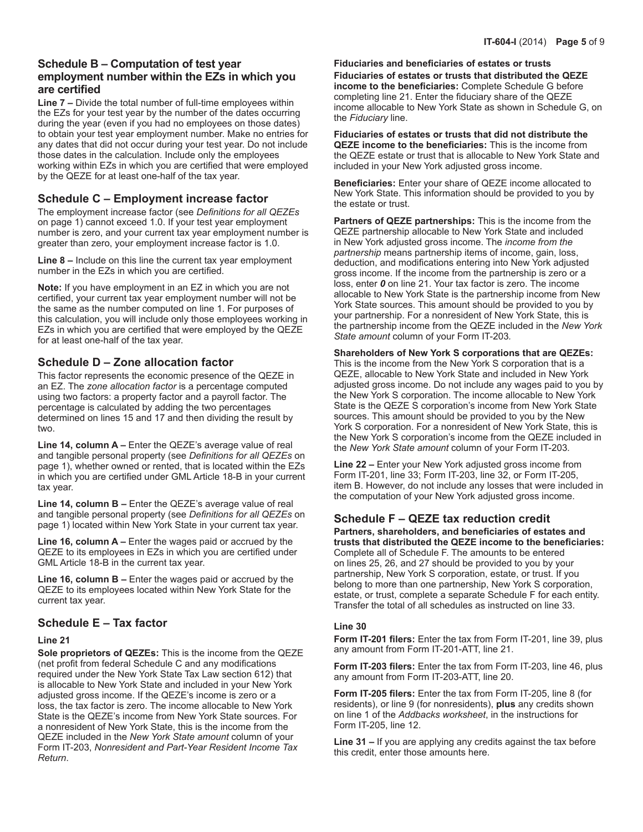## **Schedule B – Computation of test year employment number within the EZs in which you are certified**

**Line 7 –** Divide the total number of full-time employees within the EZs for your test year by the number of the dates occurring during the year (even if you had no employees on those dates) to obtain your test year employment number. Make no entries for any dates that did not occur during your test year. Do not include those dates in the calculation. Include only the employees working within EZs in which you are certified that were employed by the QEZE for at least one-half of the tax year.

# **Schedule C – Employment increase factor**

The employment increase factor (see *Definitions for all QEZEs*  on page 1) cannot exceed 1.0. If your test year employment number is zero, and your current tax year employment number is greater than zero, your employment increase factor is 1.0.

**Line 8 –** Include on this line the current tax year employment number in the EZs in which you are certified.

**Note:** If you have employment in an EZ in which you are not certified, your current tax year employment number will not be the same as the number computed on line 1. For purposes of this calculation, you will include only those employees working in EZs in which you are certified that were employed by the QEZE for at least one-half of the tax year.

# **Schedule D – Zone allocation factor**

This factor represents the economic presence of the QEZE in an EZ. The *zone allocation factor* is a percentage computed using two factors: a property factor and a payroll factor. The percentage is calculated by adding the two percentages determined on lines 15 and 17 and then dividing the result by two.

**Line 14, column A –** Enter the QEZE's average value of real and tangible personal property (see *Definitions for all QEZEs* on page 1), whether owned or rented, that is located within the EZs in which you are certified under GML Article 18-B in your current tax year.

**Line 14, column B –** Enter the QEZE's average value of real and tangible personal property (see *Definitions for all QEZEs* on page 1) located within New York State in your current tax year.

**Line 16, column A –** Enter the wages paid or accrued by the QEZE to its employees in EZs in which you are certified under GML Article 18-B in the current tax year.

**Line 16, column B –** Enter the wages paid or accrued by the QEZE to its employees located within New York State for the current tax year.

# **Schedule E – Tax factor**

## **Line 21**

**Sole proprietors of QEZEs:** This is the income from the QEZE (net profit from federal Schedule C and any modifications required under the New York State Tax Law section 612) that is allocable to New York State and included in your New York adjusted gross income. If the QEZE's income is zero or a loss, the tax factor is zero. The income allocable to New York State is the QEZE's income from New York State sources. For a nonresident of New York State, this is the income from the QEZE included in the *New York State amount* column of your Form IT-203, *Nonresident and Part-Year Resident Income Tax Return*.

**Fiduciaries and beneficiaries of estates or trusts Fiduciaries of estates or trusts that distributed the QEZE income to the beneficiaries:** Complete Schedule G before completing line 21. Enter the fiduciary share of the QEZE income allocable to New York State as shown in Schedule G, on the *Fiduciary* line.

**Fiduciaries of estates or trusts that did not distribute the QEZE income to the beneficiaries:** This is the income from the QEZE estate or trust that is allocable to New York State and included in your New York adjusted gross income.

**Beneficiaries:** Enter your share of QEZE income allocated to New York State. This information should be provided to you by the estate or trust.

**Partners of QEZE partnerships:** This is the income from the QEZE partnership allocable to New York State and included in New York adjusted gross income. The *income from the partnership* means partnership items of income, gain, loss, deduction, and modifications entering into New York adjusted gross income. If the income from the partnership is zero or a loss, enter *0* on line 21. Your tax factor is zero. The income allocable to New York State is the partnership income from New York State sources. This amount should be provided to you by your partnership. For a nonresident of New York State, this is the partnership income from the QEZE included in the *New York State amount* column of your Form IT-203*.*

## **Shareholders of New York S corporations that are QEZEs:**

This is the income from the New York S corporation that is a QEZE, allocable to New York State and included in New York adjusted gross income. Do not include any wages paid to you by the New York S corporation. The income allocable to New York State is the QEZE S corporation's income from New York State sources. This amount should be provided to you by the New York S corporation. For a nonresident of New York State, this is the New York S corporation's income from the QEZE included in the *New York State amount* column of your Form IT-203*.*

**Line 22 –** Enter your New York adjusted gross income from Form IT-201, line 33; Form IT-203, line 32, or Form IT-205, item B. However, do not include any losses that were included in the computation of your New York adjusted gross income.

## **Schedule F – QEZE tax reduction credit**

**Partners, shareholders, and beneficiaries of estates and trusts that distributed the QEZE income to the beneficiaries:**  Complete all of Schedule F. The amounts to be entered on lines 25, 26, and 27 should be provided to you by your partnership, New York S corporation, estate, or trust. If you belong to more than one partnership, New York S corporation, estate, or trust, complete a separate Schedule F for each entity. Transfer the total of all schedules as instructed on line 33.

## **Line 30**

**Form IT-201 filers:** Enter the tax from Form IT-201, line 39, plus any amount from Form IT-201-ATT, line 21.

**Form IT-203 filers:** Enter the tax from Form IT-203, line 46, plus any amount from Form IT-203-ATT, line 20.

**Form IT-205 filers:** Enter the tax from Form IT-205, line 8 (for residents), or line 9 (for nonresidents), **plus** any credits shown on line 1 of the *Addbacks worksheet*, in the instructions for Form IT-205, line 12.

**Line 31 –** If you are applying any credits against the tax before this credit, enter those amounts here.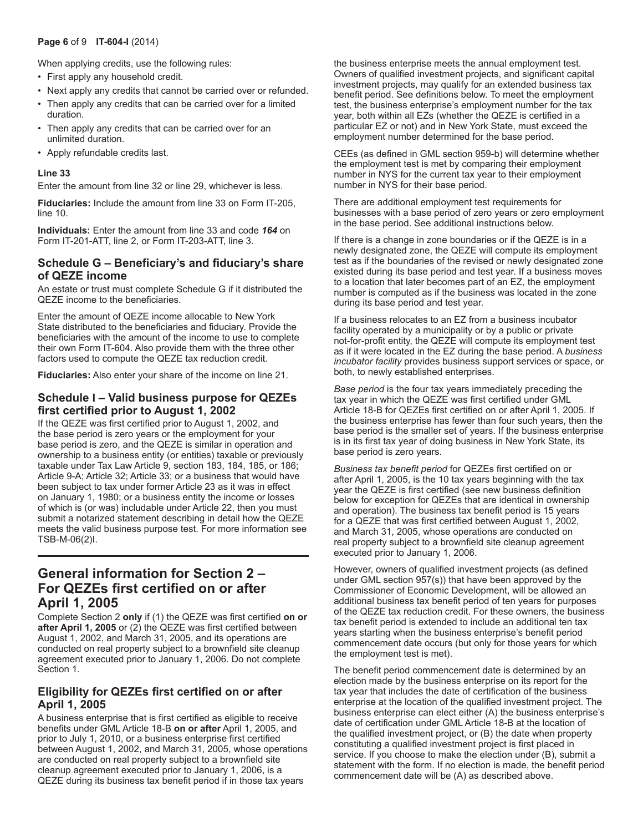#### **Page 6** of 9 **IT-604-I** (2014)

When applying credits, use the following rules:

- First apply any household credit.
- Next apply any credits that cannot be carried over or refunded.
- Then apply any credits that can be carried over for a limited duration.
- Then apply any credits that can be carried over for an unlimited duration.
- Apply refundable credits last.

#### **Line 33**

Enter the amount from line 32 or line 29, whichever is less.

**Fiduciaries:** Include the amount from line 33 on Form IT-205, line 10.

**Individuals:** Enter the amount from line 33 and code *164* on Form IT-201-ATT, line 2, or Form IT-203-ATT, line 3.

## **Schedule G – Beneficiary's and fiduciary's share of QEZE income**

An estate or trust must complete Schedule G if it distributed the QEZE income to the beneficiaries.

Enter the amount of QEZE income allocable to New York State distributed to the beneficiaries and fiduciary. Provide the beneficiaries with the amount of the income to use to complete their own Form IT-604. Also provide them with the three other factors used to compute the QEZE tax reduction credit.

**Fiduciaries:** Also enter your share of the income on line 21.

## **Schedule I – Valid business purpose for QEZEs first certified prior to August 1, 2002**

If the QEZE was first certified prior to August 1, 2002, and the base period is zero years or the employment for your base period is zero, and the QEZE is similar in operation and ownership to a business entity (or entities) taxable or previously taxable under Tax Law Article 9, section 183, 184, 185, or 186; Article 9-A; Article 32; Article 33; or a business that would have been subject to tax under former Article 23 as it was in effect on January 1, 1980; or a business entity the income or losses of which is (or was) includable under Article 22, then you must submit a notarized statement describing in detail how the QEZE meets the valid business purpose test. For more information see TSB-M-06(2)I.

# **General information for Section 2 – For QEZEs first certified on or after April 1, 2005**

Complete Section 2 **only** if (1) the QEZE was first certified **on or after April 1, 2005** or (2) the QEZE was first certified between August 1, 2002, and March 31, 2005, and its operations are conducted on real property subject to a brownfield site cleanup agreement executed prior to January 1, 2006. Do not complete Section 1.

## **Eligibility for QEZEs first certified on or after April 1, 2005**

A business enterprise that is first certified as eligible to receive benefits under GML Article 18‑B **on or after** April 1, 2005, and prior to July 1, 2010, or a business enterprise first certified between August 1, 2002, and March 31, 2005, whose operations are conducted on real property subject to a brownfield site cleanup agreement executed prior to January 1, 2006, is a QEZE during its business tax benefit period if in those tax years

the business enterprise meets the annual employment test. Owners of qualified investment projects, and significant capital investment projects, may qualify for an extended business tax benefit period. See definitions below. To meet the employment test, the business enterprise's employment number for the tax year, both within all EZs (whether the QEZE is certified in a particular EZ or not) and in New York State, must exceed the employment number determined for the base period.

CEEs (as defined in GML section 959-b) will determine whether the employment test is met by comparing their employment number in NYS for the current tax year to their employment number in NYS for their base period.

There are additional employment test requirements for businesses with a base period of zero years or zero employment in the base period. See additional instructions below.

If there is a change in zone boundaries or if the QEZE is in a newly designated zone, the QEZE will compute its employment test as if the boundaries of the revised or newly designated zone existed during its base period and test year. If a business moves to a location that later becomes part of an EZ, the employment number is computed as if the business was located in the zone during its base period and test year.

If a business relocates to an EZ from a business incubator facility operated by a municipality or by a public or private not-for-profit entity, the QEZE will compute its employment test as if it were located in the EZ during the base period. A *business incubator facility* provides business support services or space, or both, to newly established enterprises.

*Base period* is the four tax years immediately preceding the tax year in which the QEZE was first certified under GML Article 18-B for QEZEs first certified on or after April 1, 2005. If the business enterprise has fewer than four such years, then the base period is the smaller set of years. If the business enterprise is in its first tax year of doing business in New York State, its base period is zero years.

*Business tax benefit period* for QEZEs first certified on or after April 1, 2005, is the 10 tax years beginning with the tax year the QEZE is first certified (see new business definition below for exception for QEZEs that are identical in ownership and operation). The business tax benefit period is 15 years for a QEZE that was first certified between August 1, 2002, and March 31, 2005, whose operations are conducted on real property subject to a brownfield site cleanup agreement executed prior to January 1, 2006.

However, owners of qualified investment projects (as defined under GML section 957(s)) that have been approved by the Commissioner of Economic Development, will be allowed an additional business tax benefit period of ten years for purposes of the QEZE tax reduction credit. For these owners, the business tax benefit period is extended to include an additional ten tax years starting when the business enterprise's benefit period commencement date occurs (but only for those years for which the employment test is met).

The benefit period commencement date is determined by an election made by the business enterprise on its report for the tax year that includes the date of certification of the business enterprise at the location of the qualified investment project. The business enterprise can elect either (A) the business enterprise's date of certification under GML Article 18-B at the location of the qualified investment project, or (B) the date when property constituting a qualified investment project is first placed in service. If you choose to make the election under (B), submit a statement with the form. If no election is made, the benefit period commencement date will be (A) as described above.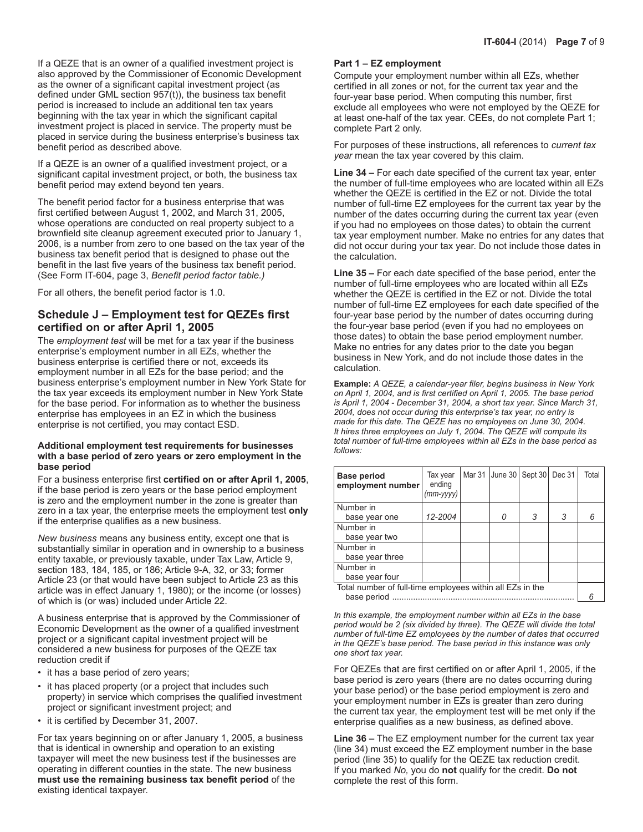If a QEZE that is an owner of a qualified investment project is also approved by the Commissioner of Economic Development as the owner of a significant capital investment project (as defined under GML section 957(t)), the business tax benefit period is increased to include an additional ten tax years beginning with the tax year in which the significant capital investment project is placed in service. The property must be placed in service during the business enterprise's business tax benefit period as described above.

If a QEZE is an owner of a qualified investment project, or a significant capital investment project, or both, the business tax benefit period may extend beyond ten years.

The benefit period factor for a business enterprise that was first certified between August 1, 2002, and March 31, 2005, whose operations are conducted on real property subject to a brownfield site cleanup agreement executed prior to January 1, 2006, is a number from zero to one based on the tax year of the business tax benefit period that is designed to phase out the benefit in the last five years of the business tax benefit period. (See Form IT-604, page 3, *Benefit period factor table.)*

For all others, the benefit period factor is 1.0.

# **Schedule J – Employment test for QEZEs first certified on or after April 1, 2005**

The *employment test* will be met for a tax year if the business enterprise's employment number in all EZs, whether the business enterprise is certified there or not, exceeds its employment number in all EZs for the base period; and the business enterprise's employment number in New York State for the tax year exceeds its employment number in New York State for the base period. For information as to whether the business enterprise has employees in an EZ in which the business enterprise is not certified, you may contact ESD.

#### **Additional employment test requirements for businesses with a base period of zero years or zero employment in the base period**

For a business enterprise first **certified on or after April 1, 2005**, if the base period is zero years or the base period employment is zero and the employment number in the zone is greater than zero in a tax year, the enterprise meets the employment test **only** if the enterprise qualifies as a new business.

*New business* means any business entity, except one that is substantially similar in operation and in ownership to a business entity taxable, or previously taxable, under Tax Law, Article 9, section 183, 184, 185, or 186; Article 9-A, 32, or 33; former Article 23 (or that would have been subject to Article 23 as this article was in effect January 1, 1980); or the income (or losses) of which is (or was) included under Article 22.

A business enterprise that is approved by the Commissioner of Economic Development as the owner of a qualified investment project or a significant capital investment project will be considered a new business for purposes of the QEZE tax reduction credit if

- it has a base period of zero years;
- it has placed property (or a project that includes such property) in service which comprises the qualified investment project or significant investment project; and
- it is certified by December 31, 2007.

For tax years beginning on or after January 1, 2005, a business that is identical in ownership and operation to an existing taxpayer will meet the new business test if the businesses are operating in different counties in the state. The new business **must use the remaining business tax benefit period** of the existing identical taxpayer.

#### **Part 1 – EZ employment**

Compute your employment number within all EZs, whether certified in all zones or not, for the current tax year and the four-year base period. When computing this number, first exclude all employees who were not employed by the QEZE for at least one-half of the tax year. CEEs, do not complete Part 1; complete Part 2 only.

For purposes of these instructions, all references to *current tax year* mean the tax year covered by this claim.

**Line 34 –** For each date specified of the current tax year, enter the number of full-time employees who are located within all EZs whether the QEZE is certified in the EZ or not. Divide the total number of full-time EZ employees for the current tax year by the number of the dates occurring during the current tax year (even if you had no employees on those dates) to obtain the current tax year employment number. Make no entries for any dates that did not occur during your tax year. Do not include those dates in the calculation.

**Line 35 –** For each date specified of the base period, enter the number of full-time employees who are located within all EZs whether the QEZE is certified in the EZ or not. Divide the total number of full-time EZ employees for each date specified of the four-year base period by the number of dates occurring during the four-year base period (even if you had no employees on those dates) to obtain the base period employment number. Make no entries for any dates prior to the date you began business in New York, and do not include those dates in the calculation.

**Example:** *A QEZE, a calendar-year filer, begins business in New York on April 1, 2004, and is first certified on April 1, 2005. The base period is April 1, 2004 - December 31, 2004, a short tax year. Since March 31, 2004, does not occur during this enterprise's tax year, no entry is made for this date. The QEZE has no employees on June 30, 2004. It hires three employees on July 1, 2004. The QEZE will compute its total number of full‑time employees within all EZs in the base period as follows:*

| <b>Base period</b><br>employment number                   | Tax year<br>ending<br>(mm-yyyy) | Mar 31 | June 30 Sept 30 |   | Dec 31 | Total |  |
|-----------------------------------------------------------|---------------------------------|--------|-----------------|---|--------|-------|--|
| Number in                                                 |                                 |        |                 |   |        |       |  |
| base year one                                             | 12-2004                         |        | 0               | 3 | 3      | 6     |  |
| Number in                                                 |                                 |        |                 |   |        |       |  |
| base year two                                             |                                 |        |                 |   |        |       |  |
| Number in                                                 |                                 |        |                 |   |        |       |  |
| base year three                                           |                                 |        |                 |   |        |       |  |
| Number in                                                 |                                 |        |                 |   |        |       |  |
| base year four                                            |                                 |        |                 |   |        |       |  |
| Total number of full-time employees within all EZs in the |                                 |        |                 |   |        |       |  |
| base period                                               |                                 |        |                 |   |        |       |  |

*In this example, the employment number within all EZs in the base period would be 2 (six divided by three). The QEZE will divide the total number of full-time EZ employees by the number of dates that occurred in the QEZE's base period. The base period in this instance was only one short tax year.*

For QEZEs that are first certified on or after April 1, 2005, if the base period is zero years (there are no dates occurring during your base period) or the base period employment is zero and your employment number in EZs is greater than zero during the current tax year, the employment test will be met only if the enterprise qualifies as a new business, as defined above.

**Line 36 –** The EZ employment number for the current tax year (line 34) must exceed the EZ employment number in the base period (line 35) to qualify for the QEZE tax reduction credit. If you marked *No,* you do **not** qualify for the credit. **Do not** complete the rest of this form.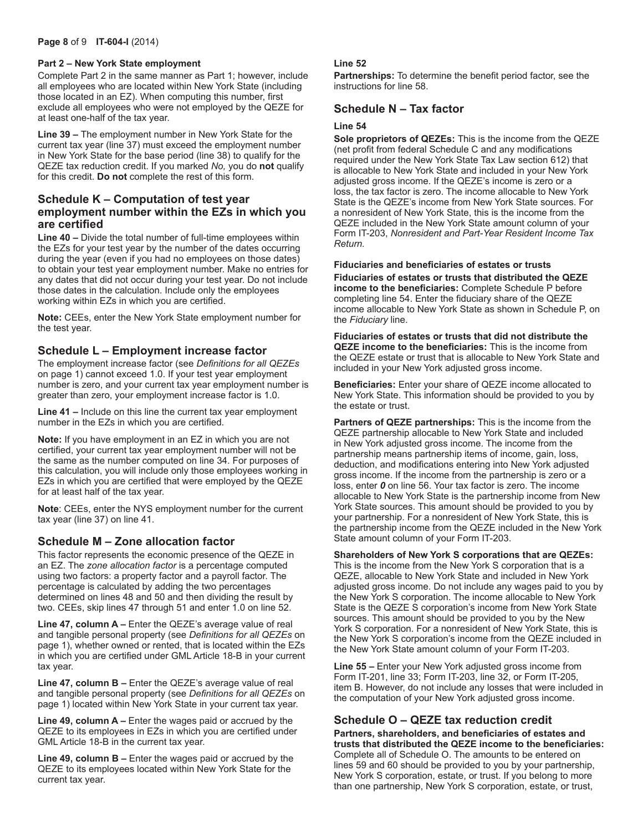#### **Page 8** of 9 **IT-604-I** (2014)

#### **Part 2 – New York State employment**

Complete Part 2 in the same manner as Part 1; however, include all employees who are located within New York State (including those located in an EZ). When computing this number, first exclude all employees who were not employed by the QEZE for at least one-half of the tax year.

**Line 39 –** The employment number in New York State for the current tax year (line 37) must exceed the employment number in New York State for the base period (line 38) to qualify for the QEZE tax reduction credit. If you marked *No,* you do **not** qualify for this credit. **Do not** complete the rest of this form.

## **Schedule K – Computation of test year employment number within the EZs in which you are certified**

**Line 40 –** Divide the total number of full-time employees within the EZs for your test year by the number of the dates occurring during the year (even if you had no employees on those dates) to obtain your test year employment number. Make no entries for any dates that did not occur during your test year. Do not include those dates in the calculation. Include only the employees working within EZs in which you are certified.

**Note:** CEEs, enter the New York State employment number for the test year.

## **Schedule L – Employment increase factor**

The employment increase factor (see *Definitions for all QEZEs*  on page 1) cannot exceed 1.0. If your test year employment number is zero, and your current tax year employment number is greater than zero, your employment increase factor is 1.0.

**Line 41 –** Include on this line the current tax year employment number in the EZs in which you are certified.

**Note:** If you have employment in an EZ in which you are not certified, your current tax year employment number will not be the same as the number computed on line 34. For purposes of this calculation, you will include only those employees working in EZs in which you are certified that were employed by the QEZE for at least half of the tax year.

**Note**: CEEs, enter the NYS employment number for the current tax year (line 37) on line 41.

## **Schedule M – Zone allocation factor**

This factor represents the economic presence of the QEZE in an EZ. The *zone allocation factor* is a percentage computed using two factors: a property factor and a payroll factor. The percentage is calculated by adding the two percentages determined on lines 48 and 50 and then dividing the result by two. CEEs, skip lines 47 through 51 and enter 1.0 on line 52.

**Line 47, column A –** Enter the QEZE's average value of real and tangible personal property (see *Definitions for all QEZEs* on page 1), whether owned or rented, that is located within the EZs in which you are certified under GML Article 18-B in your current tax year.

**Line 47, column B –** Enter the QEZE's average value of real and tangible personal property (see *Definitions for all QEZEs* on page 1) located within New York State in your current tax year.

**Line 49, column A –** Enter the wages paid or accrued by the QEZE to its employees in EZs in which you are certified under GML Article 18-B in the current tax year.

**Line 49, column B –** Enter the wages paid or accrued by the QEZE to its employees located within New York State for the current tax year.

#### **Line 52**

**Partnerships:** To determine the benefit period factor, see the instructions for line 58.

## **Schedule N – Tax factor**

#### **Line 54**

**Sole proprietors of QEZEs:** This is the income from the QEZE (net profit from federal Schedule C and any modifications required under the New York State Tax Law section 612) that is allocable to New York State and included in your New York adjusted gross income. If the QEZE's income is zero or a loss, the tax factor is zero. The income allocable to New York State is the QEZE's income from New York State sources. For a nonresident of New York State, this is the income from the QEZE included in the New York State amount column of your Form IT-203, *Nonresident and Part-Year Resident Income Tax Return.*

**Fiduciaries and beneficiaries of estates or trusts Fiduciaries of estates or trusts that distributed the QEZE income to the beneficiaries:** Complete Schedule P before completing line 54. Enter the fiduciary share of the QEZE income allocable to New York State as shown in Schedule P, on the *Fiduciary* line.

**Fiduciaries of estates or trusts that did not distribute the QEZE income to the beneficiaries:** This is the income from the QEZE estate or trust that is allocable to New York State and included in your New York adjusted gross income.

**Beneficiaries:** Enter your share of QEZE income allocated to New York State. This information should be provided to you by the estate or trust.

**Partners of QEZE partnerships:** This is the income from the QEZE partnership allocable to New York State and included in New York adjusted gross income. The income from the partnership means partnership items of income, gain, loss, deduction, and modifications entering into New York adjusted gross income. If the income from the partnership is zero or a loss, enter *0* on line 56. Your tax factor is zero. The income allocable to New York State is the partnership income from New York State sources. This amount should be provided to you by your partnership. For a nonresident of New York State, this is the partnership income from the QEZE included in the New York State amount column of your Form IT-203.

**Shareholders of New York S corporations that are QEZEs:** This is the income from the New York S corporation that is a QEZE, allocable to New York State and included in New York adjusted gross income. Do not include any wages paid to you by the New York S corporation. The income allocable to New York State is the QEZE S corporation's income from New York State sources. This amount should be provided to you by the New York S corporation. For a nonresident of New York State, this is the New York S corporation's income from the QEZE included in the New York State amount column of your Form IT-203.

**Line 55 –** Enter your New York adjusted gross income from Form IT-201, line 33; Form IT-203, line 32, or Form IT-205, item B. However, do not include any losses that were included in the computation of your New York adjusted gross income.

## **Schedule O – QEZE tax reduction credit**

**Partners, shareholders, and beneficiaries of estates and trusts that distributed the QEZE income to the beneficiaries:** Complete all of Schedule O. The amounts to be entered on lines 59 and 60 should be provided to you by your partnership, New York S corporation, estate, or trust. If you belong to more than one partnership, New York S corporation, estate, or trust,